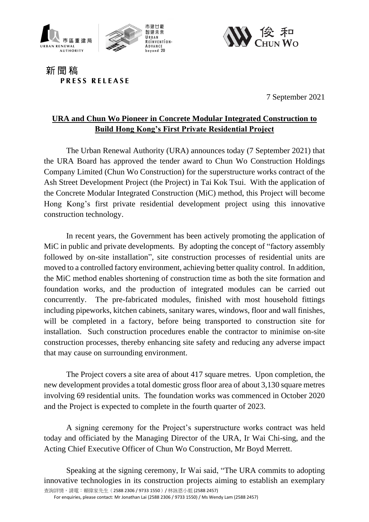



7 September 2021

## **URA and Chun Wo Pioneer in Concrete Modular Integrated Construction to Build Hong Kong's First Private Residential Project**

The Urban Renewal Authority (URA) announces today (7 September 2021) that the URA Board has approved the tender award to Chun Wo Construction Holdings Company Limited (Chun Wo Construction) for the superstructure works contract of the Ash Street Development Project (the Project) in Tai Kok Tsui. With the application of the Concrete Modular Integrated Construction (MiC) method, this Project will become Hong Kong's first private residential development project using this innovative construction technology.

In recent years, the Government has been actively promoting the application of MiC in public and private developments. By adopting the concept of "factory assembly followed by on-site installation", site construction processes of residential units are moved to a controlled factory environment, achieving better quality control. In addition, the MiC method enables shortening of construction time as both the site formation and foundation works, and the production of integrated modules can be carried out concurrently. The pre-fabricated modules, finished with most household fittings including pipeworks, kitchen cabinets, sanitary wares, windows, floor and wall finishes, will be completed in a factory, before being transported to construction site for installation. Such construction procedures enable the contractor to minimise on-site construction processes, thereby enhancing site safety and reducing any adverse impact that may cause on surrounding environment.

The Project covers a site area of about 417 square metres. Upon completion, the new development provides a total domestic gross floor area of about 3,130 square metres involving 69 residential units. The foundation works was commenced in October 2020 and the Project is expected to complete in the fourth quarter of 2023.

A signing ceremony for the Project's superstructure works contract was held today and officiated by the Managing Director of the URA, Ir Wai Chi-sing, and the Acting Chief Executive Officer of Chun Wo Construction, Mr Boyd Merrett.

Speaking at the signing ceremony, Ir Wai said, "The URA commits to adopting innovative technologies in its construction projects aiming to establish an exemplary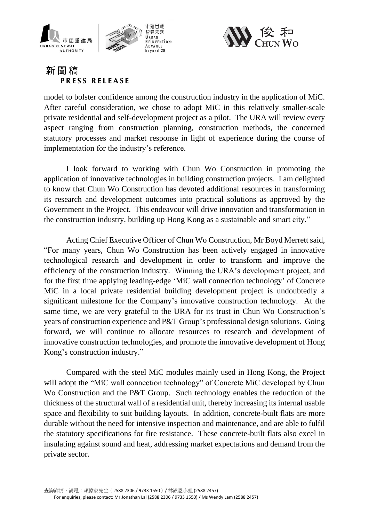



model to bolster confidence among the construction industry in the application of MiC. After careful consideration, we chose to adopt MiC in this relatively smaller-scale private residential and self-development project as a pilot. The URA will review every aspect ranging from construction planning, construction methods, the concerned statutory processes and market response in light of experience during the course of implementation for the industry's reference.

I look forward to working with Chun Wo Construction in promoting the application of innovative technologies in building construction projects. I am delighted to know that Chun Wo Construction has devoted additional resources in transforming its research and development outcomes into practical solutions as approved by the Government in the Project. This endeavour will drive innovation and transformation in the construction industry, building up Hong Kong as a sustainable and smart city."

Acting Chief Executive Officer of Chun Wo Construction, Mr Boyd Merrett said, "For many years, Chun Wo Construction has been actively engaged in innovative technological research and development in order to transform and improve the efficiency of the construction industry. Winning the URA's development project, and for the first time applying leading-edge 'MiC wall connection technology' of Concrete MiC in a local private residential building development project is undoubtedly a significant milestone for the Company's innovative construction technology. At the same time, we are very grateful to the URA for its trust in Chun Wo Construction's years of construction experience and P&T Group's professional design solutions. Going forward, we will continue to allocate resources to research and development of innovative construction technologies, and promote the innovative development of Hong Kong's construction industry."

Compared with the steel MiC modules mainly used in Hong Kong, the Project will adopt the "MiC wall connection technology" of Concrete MiC developed by Chun Wo Construction and the P&T Group. Such technology enables the reduction of the thickness of the structural wall of a residential unit, thereby increasing its internal usable space and flexibility to suit building layouts. In addition, concrete-built flats are more durable without the need for intensive inspection and maintenance, and are able to fulfil the statutory specifications for fire resistance. These concrete-built flats also excel in insulating against sound and heat, addressing market expectations and demand from the private sector.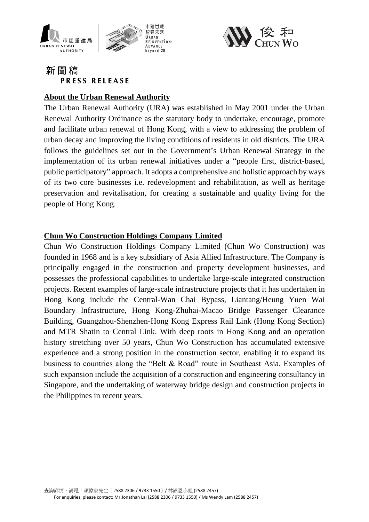



#### **About the Urban Renewal Authority**

The Urban Renewal Authority (URA) was established in May 2001 under the Urban Renewal Authority Ordinance as the statutory body to undertake, encourage, promote and facilitate urban renewal of Hong Kong, with a view to addressing the problem of urban decay and improving the living conditions of residents in old districts. The URA follows the guidelines set out in the Government's Urban Renewal Strategy in the implementation of its urban renewal initiatives under a "people first, district-based, public participatory" approach. It adopts a comprehensive and holistic approach by ways of its two core businesses i.e. redevelopment and rehabilitation, as well as heritage preservation and revitalisation, for creating a sustainable and quality living for the people of Hong Kong.

### **Chun Wo Construction Holdings Company Limited**

Chun Wo Construction Holdings Company Limited (Chun Wo Construction) was founded in 1968 and is a key subsidiary of Asia Allied Infrastructure. The Company is principally engaged in the construction and property development businesses, and possesses the professional capabilities to undertake large-scale integrated construction projects. Recent examples of large-scale infrastructure projects that it has undertaken in Hong Kong include the Central-Wan Chai Bypass, Liantang/Heung Yuen Wai Boundary Infrastructure, Hong Kong-Zhuhai-Macao Bridge Passenger Clearance Building, Guangzhou-Shenzhen-Hong Kong Express Rail Link (Hong Kong Section) and MTR Shatin to Central Link. With deep roots in Hong Kong and an operation history stretching over 50 years, Chun Wo Construction has accumulated extensive experience and a strong position in the construction sector, enabling it to expand its business to countries along the "Belt & Road" route in Southeast Asia. Examples of such expansion include the acquisition of a construction and engineering consultancy in Singapore, and the undertaking of waterway bridge design and construction projects in the Philippines in recent years.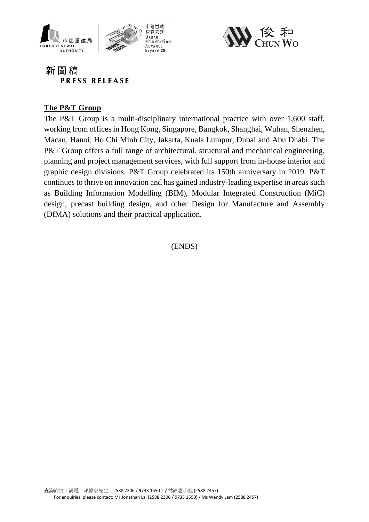





## **The P&T Group**

The P&T Group is a multi-disciplinary international practice with over 1,600 staff, working from offices in Hong Kong, Singapore, Bangkok, Shanghai, Wuhan, Shenzhen, Macau, Hanoi, Ho Chi Minh City, Jakarta, Kuala Lumpur, Dubai and Abu Dhabi. The P&T Group offers a full range of architectural, structural and mechanical engineering, planning and project management services, with full support from in-house interior and graphic design divisions. P&T Group celebrated its 150th anniversary in 2019. P&T continues to thrive on innovation and has gained industry-leading expertise in areas such as Building Information Modelling (BIM), Modular Integrated Construction (MiC) design, precast building design, and other Design for Manufacture and Assembly (DfMA) solutions and their practical application.

(ENDS)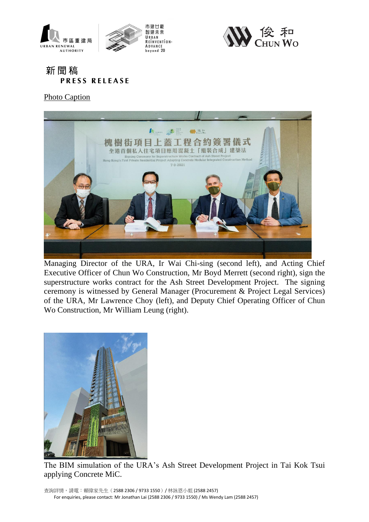





#### **Photo Caption**



Managing Director of the URA, Ir Wai Chi-sing (second left), and Acting Chief Executive Officer of Chun Wo Construction, Mr Boyd Merrett (second right), sign the superstructure works contract for the Ash Street Development Project. The signing ceremony is witnessed by General Manager (Procurement & Project Legal Services) of the URA, Mr Lawrence Choy (left), and Deputy Chief Operating Officer of Chun Wo Construction, Mr William Leung (right).



The BIM simulation of the URA's Ash Street Development Project in Tai Kok Tsui applying Concrete MiC.